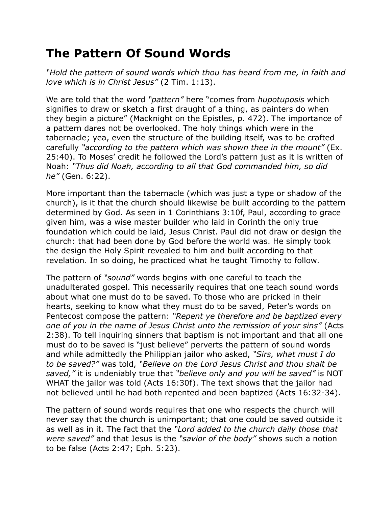## **The Pattern Of Sound Words**

*"Hold the pattern of sound words which thou has heard from me, in faith and love which is in Christ Jesus"* (2 Tim. 1:13).

We are told that the word *"pattern"* here "comes from *hupotuposis* which signifies to draw or sketch a first draught of a thing, as painters do when they begin a picture" (Macknight on the Epistles, p. 472). The importance of a pattern dares not be overlooked. The holy things which were in the tabernacle; yea, even the structure of the building itself, was to be crafted carefully *"according to the pattern which was shown thee in the mount"* (Ex. 25:40). To Moses' credit he followed the Lord's pattern just as it is written of Noah: *"Thus did Noah, according to all that God commanded him, so did he"* (Gen. 6:22).

More important than the tabernacle (which was just a type or shadow of the church), is it that the church should likewise be built according to the pattern determined by God. As seen in 1 Corinthians 3:10f, Paul, according to grace given him, was a wise master builder who laid in Corinth the only true foundation which could be laid, Jesus Christ. Paul did not draw or design the church: that had been done by God before the world was. He simply took the design the Holy Spirit revealed to him and built according to that revelation. In so doing, he practiced what he taught Timothy to follow.

The pattern of *"sound"* words begins with one careful to teach the unadulterated gospel. This necessarily requires that one teach sound words about what one must do to be saved. To those who are pricked in their hearts, seeking to know what they must do to be saved, Peter's words on Pentecost compose the pattern: *"Repent ye therefore and be baptized every one of you in the name of Jesus Christ unto the remission of your sins"* (Acts 2:38). To tell inquiring sinners that baptism is not important and that all one must do to be saved is "just believe" perverts the pattern of sound words and while admittedly the Philippian jailor who asked, *"Sirs, what must I do to be saved?"* was told, *"Believe on the Lord Jesus Christ and thou shalt be saved,"* it is undeniably true that *"believe only and you will be saved"* is NOT WHAT the jailor was told (Acts 16:30f). The text shows that the jailor had not believed until he had both repented and been baptized (Acts 16:32-34).

The pattern of sound words requires that one who respects the church will never say that the church is unimportant; that one could be saved outside it as well as in it. The fact that the *"Lord added to the church daily those that were saved"* and that Jesus is the *"savior of the body"* shows such a notion to be false (Acts 2:47; Eph. 5:23).